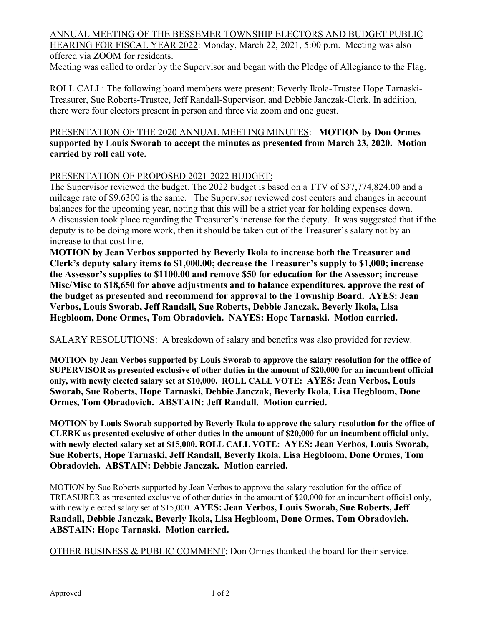ANNUAL MEETING OF THE BESSEMER TOWNSHIP ELECTORS AND BUDGET PUBLIC HEARING FOR FISCAL YEAR 2022: Monday, March 22, 2021, 5:00 p.m. Meeting was also offered via ZOOM for residents.

Meeting was called to order by the Supervisor and began with the Pledge of Allegiance to the Flag.

ROLL CALL: The following board members were present: Beverly Ikola-Trustee Hope Tarnaski-Treasurer, Sue Roberts-Trustee, Jeff Randall-Supervisor, and Debbie Janczak-Clerk. In addition, there were four electors present in person and three via zoom and one guest.

## PRESENTATION OF THE 2020 ANNUAL MEETING MINUTES: **MOTION by Don Ormes supported by Louis Sworab to accept the minutes as presented from March 23, 2020. Motion carried by roll call vote.**

## PRESENTATION OF PROPOSED 2021-2022 BUDGET:

The Supervisor reviewed the budget. The 2022 budget is based on a TTV of \$37,774,824.00 and a mileage rate of \$9.6300 is the same. The Supervisor reviewed cost centers and changes in account balances for the upcoming year, noting that this will be a strict year for holding expenses down. A discussion took place regarding the Treasurer's increase for the deputy. It was suggested that if the deputy is to be doing more work, then it should be taken out of the Treasurer's salary not by an increase to that cost line.

**MOTION by Jean Verbos supported by Beverly Ikola to increase both the Treasurer and Clerk's deputy salary items to \$1,000.00; decrease the Treasurer's supply to \$1,000; increase the Assessor's supplies to \$1100.00 and remove \$50 for education for the Assessor; increase Misc/Misc to \$18,650 for above adjustments and to balance expenditures. approve the rest of the budget as presented and recommend for approval to the Township Board. AYES: Jean Verbos, Louis Sworab, Jeff Randall, Sue Roberts, Debbie Janczak, Beverly Ikola, Lisa Hegbloom, Done Ormes, Tom Obradovich. NAYES: Hope Tarnaski. Motion carried.**

SALARY RESOLUTIONS: A breakdown of salary and benefits was also provided for review.

**MOTION by Jean Verbos supported by Louis Sworab to approve the salary resolution for the office of SUPERVISOR as presented exclusive of other duties in the amount of \$20,000 for an incumbent official only, with newly elected salary set at \$10,000. ROLL CALL VOTE: AYES: Jean Verbos, Louis Sworab, Sue Roberts, Hope Tarnaski, Debbie Janczak, Beverly Ikola, Lisa Hegbloom, Done Ormes, Tom Obradovich. ABSTAIN: Jeff Randall. Motion carried.**

**MOTION by Louis Sworab supported by Beverly Ikola to approve the salary resolution for the office of CLERK as presented exclusive of other duties in the amount of \$20,000 for an incumbent official only, with newly elected salary set at \$15,000. ROLL CALL VOTE: AYES: Jean Verbos, Louis Sworab, Sue Roberts, Hope Tarnaski, Jeff Randall, Beverly Ikola, Lisa Hegbloom, Done Ormes, Tom Obradovich. ABSTAIN: Debbie Janczak. Motion carried.**

MOTION by Sue Roberts supported by Jean Verbos to approve the salary resolution for the office of TREASURER as presented exclusive of other duties in the amount of \$20,000 for an incumbent official only, with newly elected salary set at \$15,000. **AYES: Jean Verbos, Louis Sworab, Sue Roberts, Jeff Randall, Debbie Janczak, Beverly Ikola, Lisa Hegbloom, Done Ormes, Tom Obradovich. ABSTAIN: Hope Tarnaski. Motion carried.**

OTHER BUSINESS & PUBLIC COMMENT: Don Ormes thanked the board for their service.